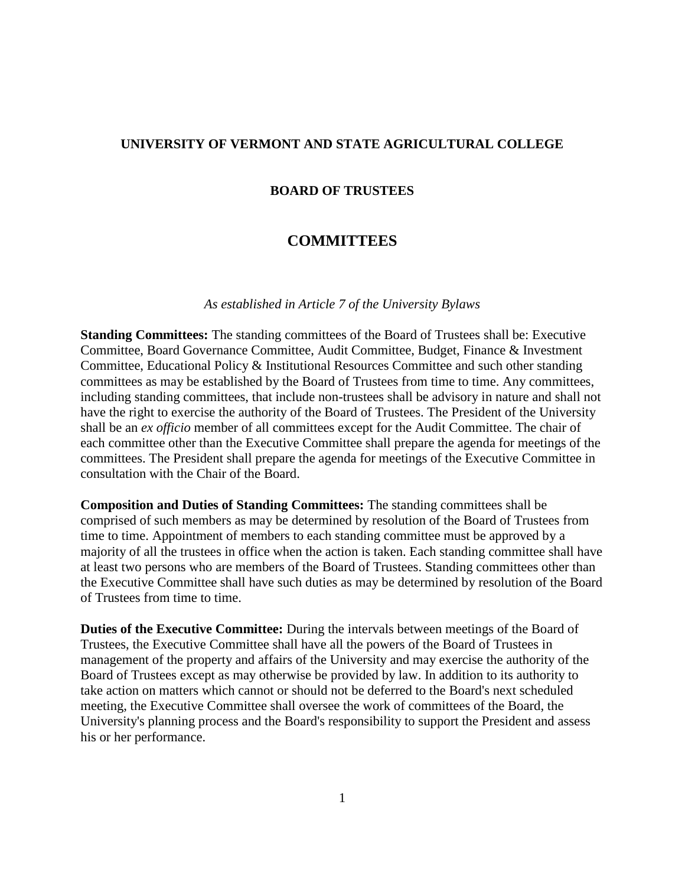## **UNIVERSITY OF VERMONT AND STATE AGRICULTURAL COLLEGE**

## **BOARD OF TRUSTEES**

## **COMMITTEES**

## *As established in Article 7 of the University Bylaws*

**Standing Committees:** The standing committees of the Board of Trustees shall be: Executive Committee, Board Governance Committee, Audit Committee, Budget, Finance & Investment Committee, Educational Policy & Institutional Resources Committee and such other standing committees as may be established by the Board of Trustees from time to time. Any committees, including standing committees, that include non-trustees shall be advisory in nature and shall not have the right to exercise the authority of the Board of Trustees. The President of the University shall be an *ex officio* member of all committees except for the Audit Committee. The chair of each committee other than the Executive Committee shall prepare the agenda for meetings of the committees. The President shall prepare the agenda for meetings of the Executive Committee in consultation with the Chair of the Board.

**Composition and Duties of Standing Committees:** The standing committees shall be comprised of such members as may be determined by resolution of the Board of Trustees from time to time. Appointment of members to each standing committee must be approved by a majority of all the trustees in office when the action is taken. Each standing committee shall have at least two persons who are members of the Board of Trustees. Standing committees other than the Executive Committee shall have such duties as may be determined by resolution of the Board of Trustees from time to time.

**Duties of the Executive Committee:** During the intervals between meetings of the Board of Trustees, the Executive Committee shall have all the powers of the Board of Trustees in management of the property and affairs of the University and may exercise the authority of the Board of Trustees except as may otherwise be provided by law. In addition to its authority to take action on matters which cannot or should not be deferred to the Board's next scheduled meeting, the Executive Committee shall oversee the work of committees of the Board, the University's planning process and the Board's responsibility to support the President and assess his or her performance.